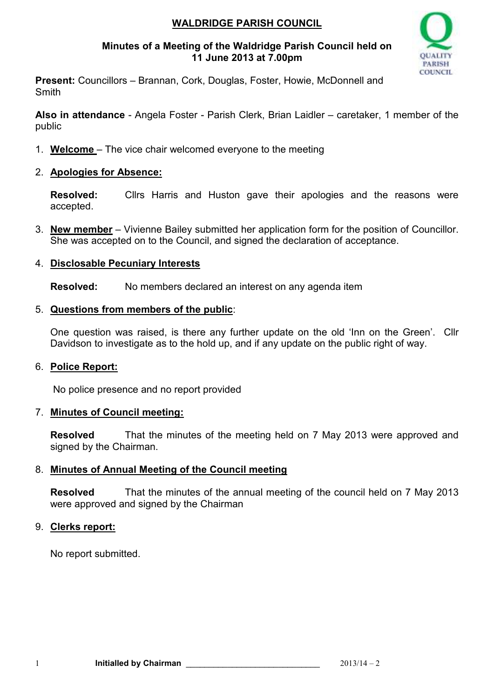# **WALDRIDGE PARISH COUNCIL**

# **Minutes of a Meeting of the Waldridge Parish Council held on 11 June 2013 at 7.00pm**



**Present:** Councillors – Brannan, Cork, Douglas, Foster, Howie, McDonnell and Smith

**Also in attendance** - Angela Foster - Parish Clerk, Brian Laidler – caretaker, 1 member of the public

1. **Welcome** – The vice chair welcomed everyone to the meeting

# 2. **Apologies for Absence:**

**Resolved:** Cllrs Harris and Huston gave their apologies and the reasons were accepted.

3. **New member** – Vivienne Bailey submitted her application form for the position of Councillor. She was accepted on to the Council, and signed the declaration of acceptance.

# 4. **Disclosable Pecuniary Interests**

**Resolved:** No members declared an interest on any agenda item

# 5. **Questions from members of the public**:

One question was raised, is there any further update on the old 'Inn on the Green'. Cllr Davidson to investigate as to the hold up, and if any update on the public right of way.

#### 6. **Police Report:**

No police presence and no report provided

#### 7. **Minutes of Council meeting:**

**Resolved** That the minutes of the meeting held on 7 May 2013 were approved and signed by the Chairman.

# 8. **Minutes of Annual Meeting of the Council meeting**

**Resolved** That the minutes of the annual meeting of the council held on 7 May 2013 were approved and signed by the Chairman

# 9. **Clerks report:**

No report submitted.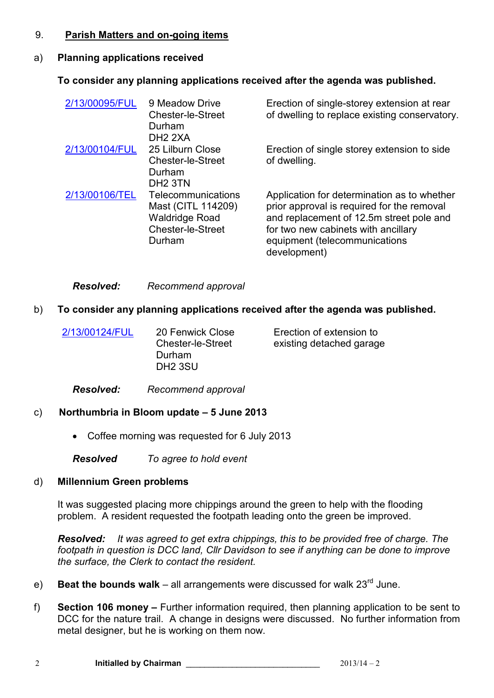### 9. **Parish Matters and on-going items**

### a) **Planning applications received**

# **To consider any planning applications received after the agenda was published.**

| 2/13/00095/FUL | 9 Meadow Drive<br><b>Chester-le-Street</b><br>Durham<br>DH <sub>2</sub> 2XA                             | Erection of single-storey extension at rear<br>of dwelling to replace existing conservatory.                                                                                                                                  |
|----------------|---------------------------------------------------------------------------------------------------------|-------------------------------------------------------------------------------------------------------------------------------------------------------------------------------------------------------------------------------|
| 2/13/00104/FUL | 25 Lilburn Close<br><b>Chester-le-Street</b><br>Durham<br>DH <sub>2</sub> 3TN                           | Erection of single storey extension to side<br>of dwelling.                                                                                                                                                                   |
| 2/13/00106/TEL | Telecommunications<br>Mast (CITL 114209)<br><b>Waldridge Road</b><br><b>Chester-le-Street</b><br>Durham | Application for determination as to whether<br>prior approval is required for the removal<br>and replacement of 12.5m street pole and<br>for two new cabinets with ancillary<br>equipment (telecommunications<br>development) |

#### *Resolved: Recommend approval*

# b) **To consider any planning applications received after the agenda was published.**

| 2/13/00124/FUL | 20 Fenwick Close<br><b>Chester-le-Street</b><br>Durham<br>DH <sub>2</sub> 3SU | Erection of extension to<br>existing detached garage |
|----------------|-------------------------------------------------------------------------------|------------------------------------------------------|
|                |                                                                               |                                                      |

*Resolved: Recommend approval*

# c) **Northumbria in Bloom update – 5 June 2013**

• Coffee morning was requested for 6 July 2013

*Resolved To agree to hold event* 

#### d) **Millennium Green problems**

It was suggested placing more chippings around the green to help with the flooding problem. A resident requested the footpath leading onto the green be improved.

*Resolved: It was agreed to get extra chippings, this to be provided free of charge. The footpath in question is DCC land, Cllr Davidson to see if anything can be done to improve the surface, the Clerk to contact the resident.* 

- e) **Beat the bounds walk**all arrangements were discussed for walk 23rd June.
- f) **Section 106 money** Further information required, then planning application to be sent to DCC for the nature trail. A change in designs were discussed. No further information from metal designer, but he is working on them now.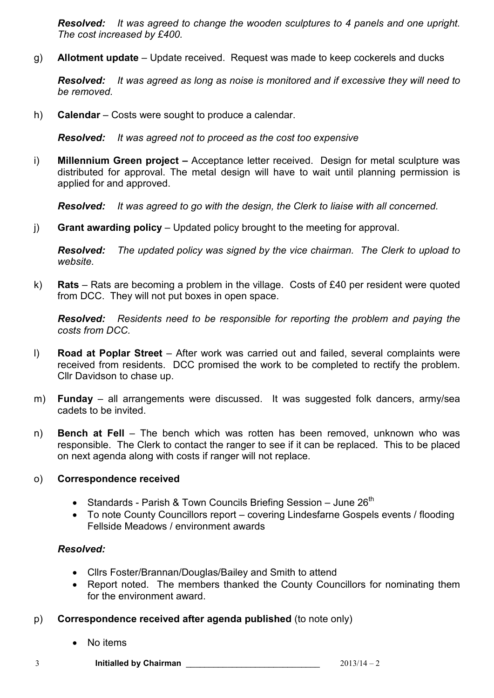*Resolved: It was agreed to change the wooden sculptures to 4 panels and one upright. The cost increased by £400.* 

g) **Allotment update** – Update received. Request was made to keep cockerels and ducks

*Resolved: It was agreed as long as noise is monitored and if excessive they will need to be removed.* 

h) **Calendar** – Costs were sought to produce a calendar.

*Resolved: It was agreed not to proceed as the cost too expensive* 

i) **Millennium Green project –** Acceptance letter received. Design for metal sculpture was distributed for approval. The metal design will have to wait until planning permission is applied for and approved.

*Resolved: It was agreed to go with the design, the Clerk to liaise with all concerned.* 

j) **Grant awarding policy** – Updated policy brought to the meeting for approval.

*Resolved: The updated policy was signed by the vice chairman. The Clerk to upload to website.*

k) **Rats** – Rats are becoming a problem in the village. Costs of £40 per resident were quoted from DCC. They will not put boxes in open space.

*Resolved: Residents need to be responsible for reporting the problem and paying the costs from DCC.*

- l) **Road at Poplar Street**  After work was carried out and failed, several complaints were received from residents. DCC promised the work to be completed to rectify the problem. Cllr Davidson to chase up.
- m) **Funday**  all arrangements were discussed. It was suggested folk dancers, army/sea cadets to be invited.
- n) **Bench at Fell**  The bench which was rotten has been removed, unknown who was responsible. The Clerk to contact the ranger to see if it can be replaced. This to be placed on next agenda along with costs if ranger will not replace.

#### o) **Correspondence received**

- Standards Parish & Town Councils Briefing Session June  $26<sup>th</sup>$
- To note County Councillors report covering Lindesfarne Gospels events / flooding Fellside Meadows / environment awards

#### *Resolved:*

- Cllrs Foster/Brannan/Douglas/Bailey and Smith to attend
- Report noted. The members thanked the County Councillors for nominating them for the environment award.
- p) **Correspondence received after agenda published** (to note only)
	- No items

3 **Initialled by Chairman** \_\_\_\_\_\_\_\_\_\_\_\_\_\_\_\_\_\_\_\_\_\_\_\_\_\_\_\_\_ 2013/14 – 2